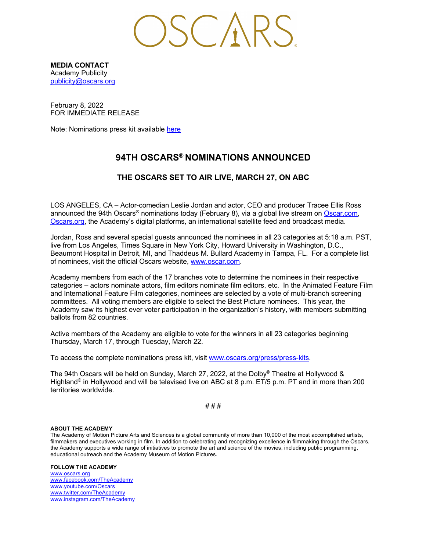$\bigcirc$ SCARS

**MEDIA CONTACT** Academy Publicity publicity@oscars.org

February 8, 2022 FOR IMMEDIATE RELEASE

Note: Nominations press kit available here

# **94TH OSCARS® NOMINATIONS ANNOUNCED**

#### **THE OSCARS SET TO AIR LIVE, MARCH 27, ON ABC**

LOS ANGELES, CA – Actor-comedian Leslie Jordan and actor, CEO and producer Tracee Ellis Ross announced the 94th Oscars<sup>®</sup> nominations today (February 8), via a global live stream on Oscar.com, Oscars.org, the Academy's digital platforms, an international satellite feed and broadcast media.

Jordan, Ross and several special guests announced the nominees in all 23 categories at 5:18 a.m. PST, live from Los Angeles, Times Square in New York City, Howard University in Washington, D.C., Beaumont Hospital in Detroit, MI, and Thaddeus M. Bullard Academy in Tampa, FL. For a complete list of nominees, visit the official Oscars website, www.oscar.com.

Academy members from each of the 17 branches vote to determine the nominees in their respective categories – actors nominate actors, film editors nominate film editors, etc. In the Animated Feature Film and International Feature Film categories, nominees are selected by a vote of multi-branch screening committees. All voting members are eligible to select the Best Picture nominees. This year, the Academy saw its highest ever voter participation in the organization's history, with members submitting ballots from 82 countries.

Active members of the Academy are eligible to vote for the winners in all 23 categories beginning Thursday, March 17, through Tuesday, March 22.

To access the complete nominations press kit, visit www.oscars.org/press/press-kits.

The 94th Oscars will be held on Sunday, March 27, 2022, at the Dolby® Theatre at Hollywood & Highland<sup>®</sup> in Hollywood and will be televised live on ABC at 8 p.m. ET/5 p.m. PT and in more than 200 territories worldwide.

# # #

#### **ABOUT THE ACADEMY**

The Academy of Motion Picture Arts and Sciences is a global community of more than 10,000 of the most accomplished artists, filmmakers and executives working in film. In addition to celebrating and recognizing excellence in filmmaking through the Oscars, the Academy supports a wide range of initiatives to promote the art and science of the movies, including public programming, educational outreach and the Academy Museum of Motion Pictures.

#### **FOLLOW THE ACADEMY**

www.oscars.org www.facebook.com/TheAcademy www.youtube.com/Oscars www.twitter.com/TheAcademy www.instagram.com/TheAcademy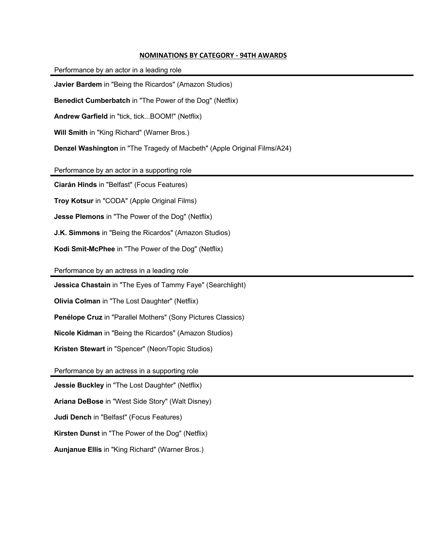#### **NOMINATIONS BY CATEGORY - 94TH AWARDS**

| Performance by an actor in a leading role                                |
|--------------------------------------------------------------------------|
| Javier Bardem in "Being the Ricardos" (Amazon Studios)                   |
| Benedict Cumberbatch in "The Power of the Dog" (Netflix)                 |
| Andrew Garfield in "tick, tick BOOM!" (Netflix)                          |
| Will Smith in "King Richard" (Warner Bros.)                              |
| Denzel Washington in "The Tragedy of Macbeth" (Apple Original Films/A24) |
| Performance by an actor in a supporting role                             |
| Ciarán Hinds in "Belfast" (Focus Features)                               |
| Troy Kotsur in "CODA" (Apple Original Films)                             |
| Jesse Plemons in "The Power of the Dog" (Netflix)                        |
| <b>J.K. Simmons</b> in "Being the Ricardos" (Amazon Studios)             |
| Kodi Smit-McPhee in "The Power of the Dog" (Netflix)                     |
| Performance by an actress in a leading role                              |
| Jessica Chastain in "The Eyes of Tammy Faye" (Searchlight)               |
| Olivia Colman in "The Lost Daughter" (Netflix)                           |
| Penélope Cruz in "Parallel Mothers" (Sony Pictures Classics)             |
| Nicole Kidman in "Being the Ricardos" (Amazon Studios)                   |

**Kristen Stewart** in "Spencer" (Neon/Topic Studios)

Performance by an actress in a supporting role

**Jessie Buckley** in "The Lost Daughter" (Netflix)

**Ariana DeBose** in "West Side Story" (Walt Disney)

**Judi Dench** in "Belfast" (Focus Features)

**Kirsten Dunst** in "The Power of the Dog" (Netflix)

**Aunjanue Ellis** in "King Richard" (Warner Bros.)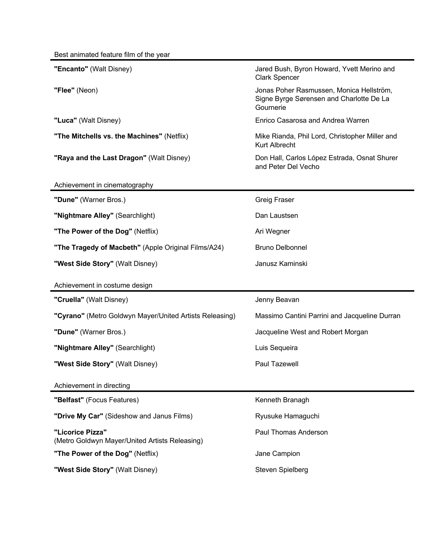| "Encanto" (Walt Disney)                                            | Jared Bush, Byron Howard, Yvett Merino and<br><b>Clark Spencer</b>                                |
|--------------------------------------------------------------------|---------------------------------------------------------------------------------------------------|
| "Flee" (Neon)                                                      | Jonas Poher Rasmussen, Monica Hellström,<br>Signe Byrge Sørensen and Charlotte De La<br>Gournerie |
| "Luca" (Walt Disney)                                               | Enrico Casarosa and Andrea Warren                                                                 |
| "The Mitchells vs. the Machines" (Netflix)                         | Mike Rianda, Phil Lord, Christopher Miller and<br><b>Kurt Albrecht</b>                            |
| "Raya and the Last Dragon" (Walt Disney)                           | Don Hall, Carlos López Estrada, Osnat Shurer<br>and Peter Del Vecho                               |
| Achievement in cinematography                                      |                                                                                                   |
| "Dune" (Warner Bros.)                                              | <b>Greig Fraser</b>                                                                               |
| "Nightmare Alley" (Searchlight)                                    | Dan Laustsen                                                                                      |
| "The Power of the Dog" (Netflix)                                   | Ari Wegner                                                                                        |
| "The Tragedy of Macbeth" (Apple Original Films/A24)                | <b>Bruno Delbonnel</b>                                                                            |
| "West Side Story" (Walt Disney)                                    | Janusz Kaminski                                                                                   |
|                                                                    |                                                                                                   |
| Achievement in costume design                                      |                                                                                                   |
| "Cruella" (Walt Disney)                                            | Jenny Beavan                                                                                      |
| "Cyrano" (Metro Goldwyn Mayer/United Artists Releasing)            | Massimo Cantini Parrini and Jacqueline Durran                                                     |
| "Dune" (Warner Bros.)                                              | Jacqueline West and Robert Morgan                                                                 |
| "Nightmare Alley" (Searchlight)                                    | Luis Sequeira                                                                                     |
| "West Side Story" (Walt Disney)                                    | Paul Tazewell                                                                                     |
| Achievement in directing                                           |                                                                                                   |
| "Belfast" (Focus Features)                                         | Kenneth Branagh                                                                                   |
| "Drive My Car" (Sideshow and Janus Films)                          | Ryusuke Hamaguchi                                                                                 |
| "Licorice Pizza"<br>(Metro Goldwyn Mayer/United Artists Releasing) | <b>Paul Thomas Anderson</b>                                                                       |
| "The Power of the Dog" (Netflix)                                   | Jane Campion                                                                                      |
| "West Side Story" (Walt Disney)                                    | Steven Spielberg                                                                                  |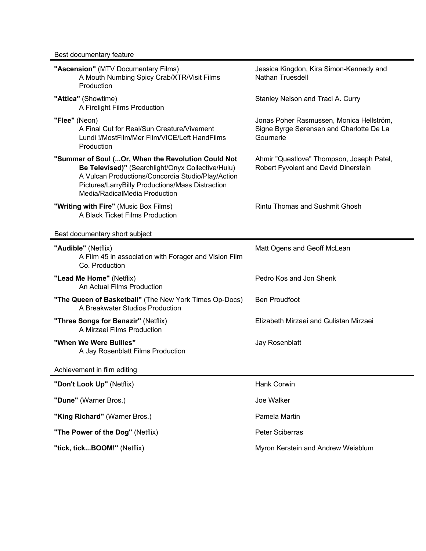| "Ascension" (MTV Documentary Films)<br>A Mouth Numbing Spicy Crab/XTR/Visit Films<br>Production                                                                                                                                                    | Jessica Kingdon, Kira Simon-Kennedy and<br><b>Nathan Truesdell</b>                                |
|----------------------------------------------------------------------------------------------------------------------------------------------------------------------------------------------------------------------------------------------------|---------------------------------------------------------------------------------------------------|
| "Attica" (Showtime)<br>A Firelight Films Production                                                                                                                                                                                                | Stanley Nelson and Traci A. Curry                                                                 |
| "Flee" (Neon)<br>A Final Cut for Real/Sun Creature/Vivement<br>Lundi !/MostFilm/Mer Film/VICE/Left HandFilms<br>Production                                                                                                                         | Jonas Poher Rasmussen, Monica Hellström,<br>Signe Byrge Sørensen and Charlotte De La<br>Gournerie |
| "Summer of Soul ( Or, When the Revolution Could Not<br>Be Televised)" (Searchlight/Onyx Collective/Hulu)<br>A Vulcan Productions/Concordia Studio/Play/Action<br>Pictures/LarryBilly Productions/Mass Distraction<br>Media/RadicalMedia Production | Ahmir "Questlove" Thompson, Joseph Patel,<br>Robert Fyvolent and David Dinerstein                 |
| "Writing with Fire" (Music Box Films)<br>A Black Ticket Films Production                                                                                                                                                                           | <b>Rintu Thomas and Sushmit Ghosh</b>                                                             |
| Best documentary short subject                                                                                                                                                                                                                     |                                                                                                   |
| "Audible" (Netflix)<br>A Film 45 in association with Forager and Vision Film<br>Co. Production                                                                                                                                                     | Matt Ogens and Geoff McLean                                                                       |
| "Lead Me Home" (Netflix)<br>An Actual Films Production                                                                                                                                                                                             | Pedro Kos and Jon Shenk                                                                           |
| "The Queen of Basketball" (The New York Times Op-Docs)<br>A Breakwater Studios Production                                                                                                                                                          | <b>Ben Proudfoot</b>                                                                              |
| "Three Songs for Benazir" (Netflix)<br>A Mirzaei Films Production                                                                                                                                                                                  | Elizabeth Mirzaei and Gulistan Mirzaei                                                            |
| "When We Were Bullies"<br>A Jay Rosenblatt Films Production                                                                                                                                                                                        | Jay Rosenblatt                                                                                    |
| Achievement in film editing                                                                                                                                                                                                                        |                                                                                                   |
| "Don't Look Up" (Netflix)                                                                                                                                                                                                                          | Hank Corwin                                                                                       |
| "Dune" (Warner Bros.)                                                                                                                                                                                                                              | Joe Walker                                                                                        |
| "King Richard" (Warner Bros.)                                                                                                                                                                                                                      | Pamela Martin                                                                                     |
| "The Power of the Dog" (Netflix)                                                                                                                                                                                                                   | Peter Sciberras                                                                                   |
| "tick, tickBOOM!" (Netflix)                                                                                                                                                                                                                        | Myron Kerstein and Andrew Weisblum                                                                |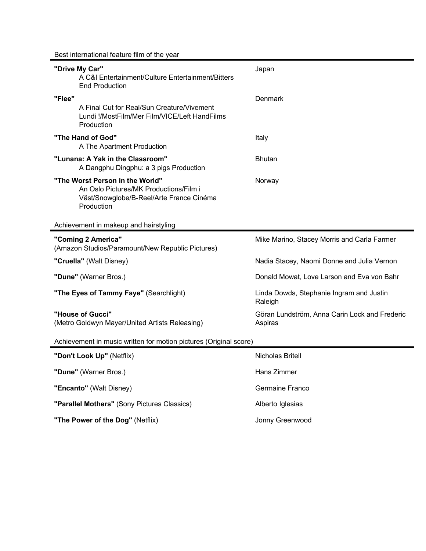Best international feature film of the year

| "Drive My Car"<br>A C&I Entertainment/Culture Entertainment/Bitters<br><b>End Production</b>                                        | Japan                                                    |
|-------------------------------------------------------------------------------------------------------------------------------------|----------------------------------------------------------|
| "Flee"                                                                                                                              | Denmark                                                  |
| A Final Cut for Real/Sun Creature/Vivement<br>Lundi !/MostFilm/Mer Film/VICE/Left HandFilms<br>Production                           |                                                          |
| "The Hand of God"<br>A The Apartment Production                                                                                     | Italy                                                    |
| "Lunana: A Yak in the Classroom"<br>A Dangphu Dingphu: a 3 pigs Production                                                          | <b>Bhutan</b>                                            |
| "The Worst Person in the World"<br>An Oslo Pictures/MK Productions/Film i<br>Väst/Snowglobe/B-Reel/Arte France Cinéma<br>Production | Norway                                                   |
| Achievement in makeup and hairstyling                                                                                               |                                                          |
| "Coming 2 America"<br>(Amazon Studios/Paramount/New Republic Pictures)                                                              | Mike Marino, Stacey Morris and Carla Farmer              |
| "Cruella" (Walt Disney)                                                                                                             | Nadia Stacey, Naomi Donne and Julia Vernon               |
| "Dune" (Warner Bros.)                                                                                                               | Donald Mowat, Love Larson and Eva von Bahr               |
| "The Eyes of Tammy Faye" (Searchlight)                                                                                              | Linda Dowds, Stephanie Ingram and Justin<br>Raleigh      |
| "House of Gucci"<br>(Metro Goldwyn Mayer/United Artists Releasing)                                                                  | Göran Lundström, Anna Carin Lock and Frederic<br>Aspiras |
| Achievement in music written for motion pictures (Original score)                                                                   |                                                          |
| "Don't Look Up" (Netflix)                                                                                                           | Nicholas Britell                                         |
| 'Dune" (Warner Bros.)                                                                                                               | Hans Zimmer                                              |
| "Encanto" (Walt Disney)                                                                                                             | Germaine Franco                                          |
| "Parallel Mothers" (Sony Pictures Classics)                                                                                         | Alberto Iglesias                                         |
| "The Power of the Dog" (Netflix)                                                                                                    | Jonny Greenwood                                          |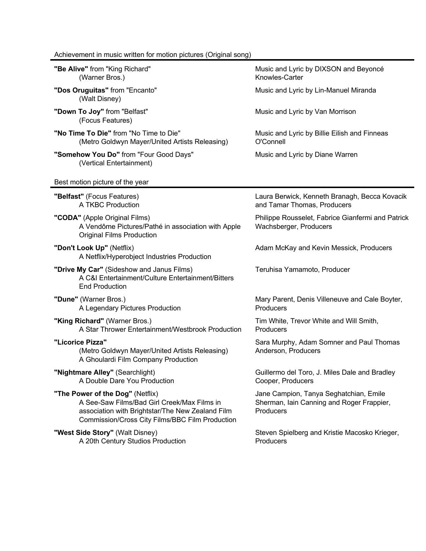## Achievement in music written for motion pictures (Original song)

| "Be Alive" from "King Richard"<br>(Warner Bros.)                                                                                                                                       | Music and Lyric by DIXSON and Beyoncé<br>Knowles-Carter                                          |
|----------------------------------------------------------------------------------------------------------------------------------------------------------------------------------------|--------------------------------------------------------------------------------------------------|
| "Dos Oruguitas" from "Encanto"<br>(Walt Disney)                                                                                                                                        | Music and Lyric by Lin-Manuel Miranda                                                            |
| "Down To Joy" from "Belfast"<br>(Focus Features)                                                                                                                                       | Music and Lyric by Van Morrison                                                                  |
| "No Time To Die" from "No Time to Die"<br>(Metro Goldwyn Mayer/United Artists Releasing)                                                                                               | Music and Lyric by Billie Eilish and Finneas<br>O'Connell                                        |
| "Somehow You Do" from "Four Good Days"<br>(Vertical Entertainment)                                                                                                                     | Music and Lyric by Diane Warren                                                                  |
| Best motion picture of the year                                                                                                                                                        |                                                                                                  |
| "Belfast" (Focus Features)<br>A TKBC Production                                                                                                                                        | Laura Berwick, Kenneth Branagh, Becca Kovacik<br>and Tamar Thomas, Producers                     |
| "CODA" (Apple Original Films)<br>A Vendôme Pictures/Pathé in association with Apple<br><b>Original Films Production</b>                                                                | Philippe Rousselet, Fabrice Gianfermi and Patrick<br>Wachsberger, Producers                      |
| "Don't Look Up" (Netflix)<br>A Netflix/Hyperobject Industries Production                                                                                                               | Adam McKay and Kevin Messick, Producers                                                          |
| "Drive My Car" (Sideshow and Janus Films)<br>A C&I Entertainment/Culture Entertainment/Bitters<br><b>End Production</b>                                                                | Teruhisa Yamamoto, Producer                                                                      |
| "Dune" (Warner Bros.)<br>A Legendary Pictures Production                                                                                                                               | Mary Parent, Denis Villeneuve and Cale Boyter,<br>Producers                                      |
| "King Richard" (Warner Bros.)<br>A Star Thrower Entertainment/Westbrook Production                                                                                                     | Tim White, Trevor White and Will Smith,<br>Producers                                             |
| "Licorice Pizza"<br>(Metro Goldwyn Mayer/United Artists Releasing)<br>A Ghoulardi Film Company Production                                                                              | Sara Murphy, Adam Somner and Paul Thomas<br>Anderson, Producers                                  |
| "Nightmare Alley" (Searchlight)<br>A Double Dare You Production                                                                                                                        | Guillermo del Toro, J. Miles Dale and Bradley<br>Cooper, Producers                               |
| "The Power of the Dog" (Netflix)<br>A See-Saw Films/Bad Girl Creek/Max Films in<br>association with Brightstar/The New Zealand Film<br>Commission/Cross City Films/BBC Film Production | Jane Campion, Tanya Seghatchian, Emile<br>Sherman, Iain Canning and Roger Frappier,<br>Producers |
| "West Side Story" (Walt Disney)<br>A 20th Century Studios Production                                                                                                                   | Steven Spielberg and Kristie Macosko Krieger,<br>Producers                                       |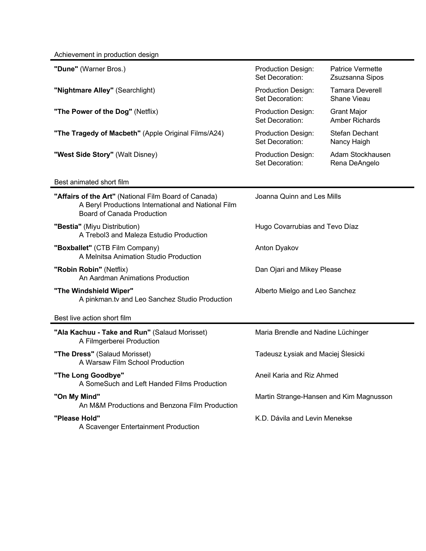Achievement in production design

| "Dune" (Warner Bros.)                                                                                                                            | <b>Production Design:</b><br>Set Decoration: | <b>Patrice Vermette</b><br>Zsuzsanna Sipos  |
|--------------------------------------------------------------------------------------------------------------------------------------------------|----------------------------------------------|---------------------------------------------|
| "Nightmare Alley" (Searchlight)                                                                                                                  | <b>Production Design:</b><br>Set Decoration: | <b>Tamara Deverell</b><br>Shane Vieau       |
| "The Power of the Dog" (Netflix)                                                                                                                 | Production Design:<br>Set Decoration:        | <b>Grant Major</b><br><b>Amber Richards</b> |
| "The Tragedy of Macbeth" (Apple Original Films/A24)                                                                                              | <b>Production Design:</b><br>Set Decoration: | <b>Stefan Dechant</b><br>Nancy Haigh        |
| "West Side Story" (Walt Disney)                                                                                                                  | Production Design:<br>Set Decoration:        | Adam Stockhausen<br>Rena DeAngelo           |
| Best animated short film                                                                                                                         |                                              |                                             |
| "Affairs of the Art" (National Film Board of Canada)<br>A Beryl Productions International and National Film<br><b>Board of Canada Production</b> | Joanna Quinn and Les Mills                   |                                             |
| "Bestia" (Miyu Distribution)<br>A Trebol3 and Maleza Estudio Production                                                                          | Hugo Covarrubias and Tevo Díaz               |                                             |
| "Boxballet" (CTB Film Company)<br>A Melnitsa Animation Studio Production                                                                         | Anton Dyakov                                 |                                             |
| "Robin Robin" (Netflix)<br>An Aardman Animations Production                                                                                      | Dan Ojari and Mikey Please                   |                                             |
| "The Windshield Wiper"<br>A pinkman.tv and Leo Sanchez Studio Production                                                                         | Alberto Mielgo and Leo Sanchez               |                                             |
| Best live action short film                                                                                                                      |                                              |                                             |
| "Ala Kachuu - Take and Run" (Salaud Morisset)<br>A Filmgerberei Production                                                                       | Maria Brendle and Nadine Lüchinger           |                                             |
| "The Dress" (Salaud Morisset)<br>A Warsaw Film School Production                                                                                 | Tadeusz Łysiak and Maciej Ślesicki           |                                             |
| "The Long Goodbye"<br>A SomeSuch and Left Handed Films Production                                                                                | Aneil Karia and Riz Ahmed                    |                                             |
| "On My Mind"<br>An M&M Productions and Benzona Film Production                                                                                   | Martin Strange-Hansen and Kim Magnusson      |                                             |
| "Please Hold"<br>A Scavenger Entertainment Production                                                                                            | K.D. Dávila and Levin Menekse                |                                             |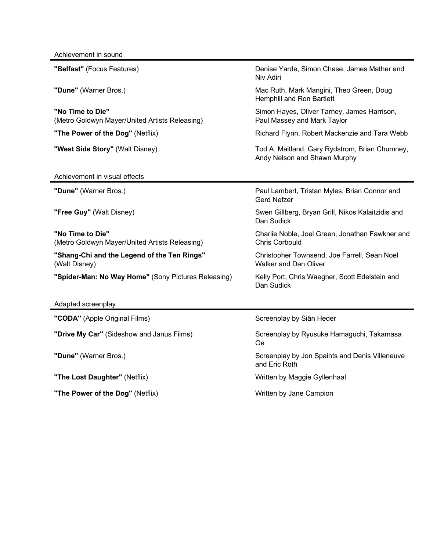| "Belfast" (Focus Features)                                         | Denise Yarde, Simon Chase, James Mather and<br>Niv Adiri                       |
|--------------------------------------------------------------------|--------------------------------------------------------------------------------|
| "Dune" (Warner Bros.)                                              | Mac Ruth, Mark Mangini, Theo Green, Doug<br>Hemphill and Ron Bartlett          |
| "No Time to Die"<br>(Metro Goldwyn Mayer/United Artists Releasing) | Simon Hayes, Oliver Tarney, James Harrison,<br>Paul Massey and Mark Taylor     |
| "The Power of the Dog" (Netflix)                                   | Richard Flynn, Robert Mackenzie and Tara Webb                                  |
| "West Side Story" (Walt Disney)                                    | Tod A. Maitland, Gary Rydstrom, Brian Chumney,<br>Andy Nelson and Shawn Murphy |
| Achievement in visual effects                                      |                                                                                |
| "Dune" (Warner Bros.)                                              | Paul Lambert, Tristan Myles, Brian Connor and<br><b>Gerd Nefzer</b>            |
| "Free Guy" (Walt Disney)                                           | Swen Gillberg, Bryan Grill, Nikos Kalaitzidis and<br>Dan Sudick                |
| "No Time to Die"<br>(Metro Goldwyn Mayer/United Artists Releasing) | Charlie Noble, Joel Green, Jonathan Fawkner and<br><b>Chris Corbould</b>       |
| "Shang-Chi and the Legend of the Ten Rings"<br>(Walt Disney)       | Christopher Townsend, Joe Farrell, Sean Noel<br><b>Walker and Dan Oliver</b>   |
| "Spider-Man: No Way Home" (Sony Pictures Releasing)                | Kelly Port, Chris Waegner, Scott Edelstein and<br>Dan Sudick                   |
| Adapted screenplay                                                 |                                                                                |
| "CODA" (Apple Original Films)                                      | Screenplay by Siân Heder                                                       |
| "Drive My Car" (Sideshow and Janus Films)                          | Screenplay by Ryusuke Hamaguchi, Takamasa<br><b>Oe</b>                         |
| "Dune" (Warner Bros.)                                              | Screenplay by Jon Spaihts and Denis Villeneuve<br>and Eric Roth                |
| "The Lost Daughter" (Netflix)                                      | Written by Maggie Gyllenhaal                                                   |
| "The Power of the Dog" (Netflix)                                   | Written by Jane Campion                                                        |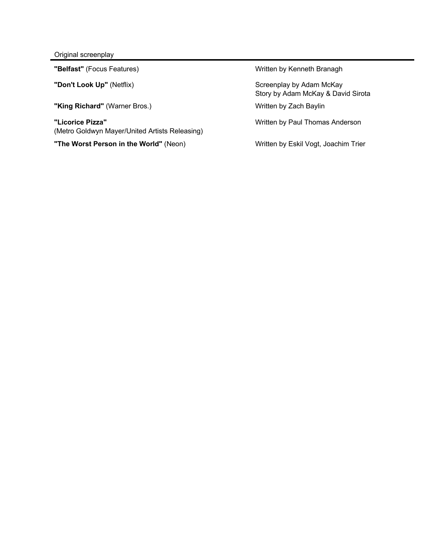Original screenplay

**"King Richard"** (Warner Bros.) **Written by Zach Baylin** 

**"Licorice Pizza"** (Metro Goldwyn Mayer/United Artists Releasing)

**"The Worst Person in the World"** (Neon) Written by Eskil Vogt, Joachim Trier

**"Belfast"** (Focus Features) Written by Kenneth Branagh

"Don't Look Up" (Netflix) **Screenplay by Adam McKay** Story by Adam McKay & David Sirota

Written by Paul Thomas Anderson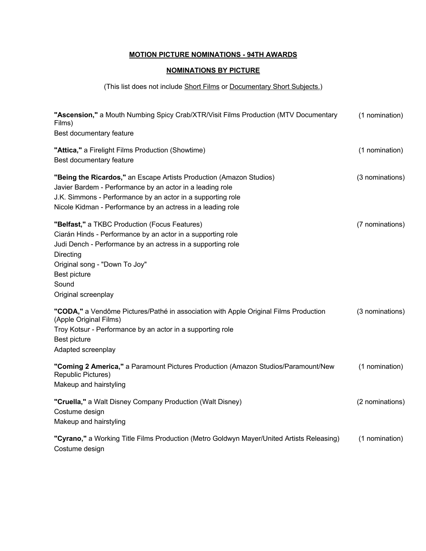## **MOTION PICTURE NOMINATIONS - 94TH AWARDS**

### **NOMINATIONS BY PICTURE**

### (This list does not include Short Films or Documentary Short Subjects.)

| "Ascension," a Mouth Numbing Spicy Crab/XTR/Visit Films Production (MTV Documentary<br>Films)<br>Best documentary feature                                                                                                                                                 | (1 nomination)  |
|---------------------------------------------------------------------------------------------------------------------------------------------------------------------------------------------------------------------------------------------------------------------------|-----------------|
| "Attica," a Firelight Films Production (Showtime)<br>Best documentary feature                                                                                                                                                                                             | (1 nomination)  |
| "Being the Ricardos," an Escape Artists Production (Amazon Studios)<br>Javier Bardem - Performance by an actor in a leading role<br>J.K. Simmons - Performance by an actor in a supporting role<br>Nicole Kidman - Performance by an actress in a leading role            | (3 nominations) |
| "Belfast," a TKBC Production (Focus Features)<br>Ciarán Hinds - Performance by an actor in a supporting role<br>Judi Dench - Performance by an actress in a supporting role<br>Directing<br>Original song - "Down To Joy"<br>Best picture<br>Sound<br>Original screenplay | (7 nominations) |
| "CODA," a Vendôme Pictures/Pathé in association with Apple Original Films Production<br>(Apple Original Films)<br>Troy Kotsur - Performance by an actor in a supporting role<br>Best picture<br>Adapted screenplay                                                        | (3 nominations) |
| "Coming 2 America," a Paramount Pictures Production (Amazon Studios/Paramount/New<br><b>Republic Pictures)</b><br>Makeup and hairstyling                                                                                                                                  | (1 nomination)  |
| "Cruella," a Walt Disney Company Production (Walt Disney)<br>Costume design<br>Makeup and hairstyling                                                                                                                                                                     | (2 nominations) |
| "Cyrano," a Working Title Films Production (Metro Goldwyn Mayer/United Artists Releasing)<br>Costume design                                                                                                                                                               | (1 nomination)  |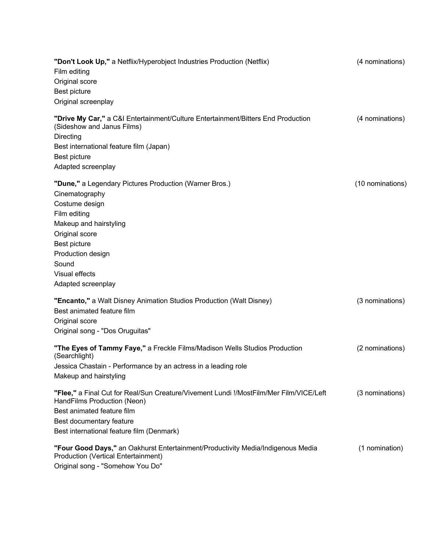| "Don't Look Up," a Netflix/Hyperobject Industries Production (Netflix)<br>Film editing<br>Original score                      | (4 nominations)  |
|-------------------------------------------------------------------------------------------------------------------------------|------------------|
| Best picture                                                                                                                  |                  |
| Original screenplay                                                                                                           |                  |
| "Drive My Car," a C&I Entertainment/Culture Entertainment/Bitters End Production<br>(Sideshow and Janus Films)<br>Directing   | (4 nominations)  |
| Best international feature film (Japan)<br>Best picture                                                                       |                  |
| Adapted screenplay                                                                                                            |                  |
| "Dune," a Legendary Pictures Production (Warner Bros.)<br>Cinematography<br>Costume design                                    | (10 nominations) |
| Film editing                                                                                                                  |                  |
| Makeup and hairstyling                                                                                                        |                  |
| Original score                                                                                                                |                  |
| Best picture                                                                                                                  |                  |
| Production design                                                                                                             |                  |
| Sound                                                                                                                         |                  |
| Visual effects                                                                                                                |                  |
| Adapted screenplay                                                                                                            |                  |
| "Encanto," a Walt Disney Animation Studios Production (Walt Disney)<br>Best animated feature film                             | (3 nominations)  |
| Original score                                                                                                                |                  |
| Original song - "Dos Oruguitas"                                                                                               |                  |
| "The Eyes of Tammy Faye," a Freckle Films/Madison Wells Studios Production<br>(Searchlight)                                   | (2 nominations)  |
| Jessica Chastain - Performance by an actress in a leading role                                                                |                  |
| Makeup and hairstyling                                                                                                        |                  |
| "Flee," a Final Cut for Real/Sun Creature/Vivement Lundi !/MostFilm/Mer Film/VICE/Left<br>HandFilms Production (Neon)         | (3 nominations)  |
| Best animated feature film                                                                                                    |                  |
| Best documentary feature                                                                                                      |                  |
| Best international feature film (Denmark)                                                                                     |                  |
| "Four Good Days," an Oakhurst Entertainment/Productivity Media/Indigenous Media<br><b>Production (Vertical Entertainment)</b> | (1 nomination)   |
| Original song - "Somehow You Do"                                                                                              |                  |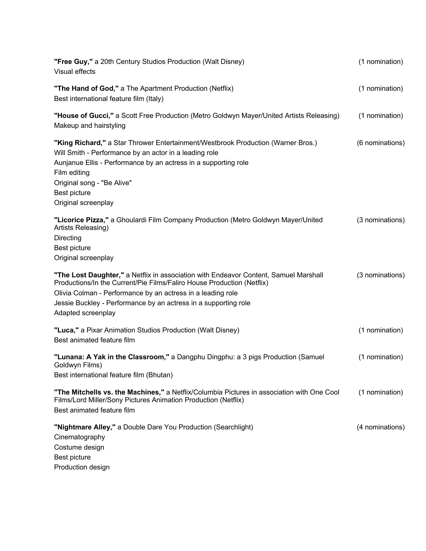| "Free Guy," a 20th Century Studios Production (Walt Disney)<br>Visual effects                                                                                                                                                                                                                                          | (1 nomination)  |
|------------------------------------------------------------------------------------------------------------------------------------------------------------------------------------------------------------------------------------------------------------------------------------------------------------------------|-----------------|
| "The Hand of God," a The Apartment Production (Netflix)<br>Best international feature film (Italy)                                                                                                                                                                                                                     | (1 nomination)  |
| "House of Gucci," a Scott Free Production (Metro Goldwyn Mayer/United Artists Releasing)<br>Makeup and hairstyling                                                                                                                                                                                                     | (1 nomination)  |
| "King Richard," a Star Thrower Entertainment/Westbrook Production (Warner Bros.)<br>Will Smith - Performance by an actor in a leading role<br>Aunjanue Ellis - Performance by an actress in a supporting role<br>Film editing<br>Original song - "Be Alive"<br>Best picture<br>Original screenplay                     | (6 nominations) |
| "Licorice Pizza," a Ghoulardi Film Company Production (Metro Goldwyn Mayer/United<br>Artists Releasing)<br>Directing<br>Best picture<br>Original screenplay                                                                                                                                                            | (3 nominations) |
| "The Lost Daughter," a Netflix in association with Endeavor Content, Samuel Marshall<br>Productions/In the Current/Pie Films/Faliro House Production (Netflix)<br>Olivia Colman - Performance by an actress in a leading role<br>Jessie Buckley - Performance by an actress in a supporting role<br>Adapted screenplay | (3 nominations) |
| "Luca," a Pixar Animation Studios Production (Walt Disney)<br>Best animated feature film                                                                                                                                                                                                                               | (1 nomination)  |
| "Lunana: A Yak in the Classroom," a Dangphu Dingphu: a 3 pigs Production (Samuel<br>Goldwyn Films)<br>Best international feature film (Bhutan)                                                                                                                                                                         | (1 nomination)  |
| "The Mitchells vs. the Machines," a Netflix/Columbia Pictures in association with One Cool<br>Films/Lord Miller/Sony Pictures Animation Production (Netflix)<br>Best animated feature film                                                                                                                             | (1 nomination)  |
| "Nightmare Alley," a Double Dare You Production (Searchlight)<br>Cinematography<br>Costume design<br>Best picture<br>Production design                                                                                                                                                                                 | (4 nominations) |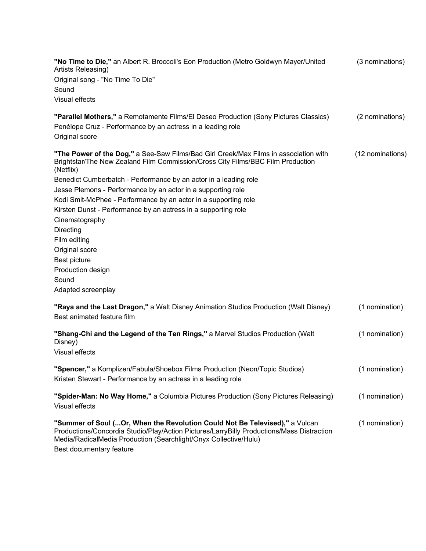**"No Time to Die,"** an Albert R. Broccoli's Eon Production (Metro Goldwyn Mayer/United Artists Releasing) (3 nominations) Original song - "No Time To Die" Sound Visual effects

| "Parallel Mothers," a Remotamente Films/El Deseo Production (Sony Pictures Classics) | (2 nominations) |
|--------------------------------------------------------------------------------------|-----------------|
| Penélope Cruz - Performance by an actress in a leading role                          |                 |
| Original score                                                                       |                 |

| "The Power of the Dog," a See-Saw Films/Bad Girl Creek/Max Films in association with<br>Brightstar/The New Zealand Film Commission/Cross City Films/BBC Film Production<br>(Netflix) | (12 nominations) |
|--------------------------------------------------------------------------------------------------------------------------------------------------------------------------------------|------------------|
| Benedict Cumberbatch - Performance by an actor in a leading role                                                                                                                     |                  |
| Jesse Plemons - Performance by an actor in a supporting role                                                                                                                         |                  |
| Kodi Smit-McPhee - Performance by an actor in a supporting role                                                                                                                      |                  |
| Kirsten Dunst - Performance by an actress in a supporting role                                                                                                                       |                  |
| Cinematography                                                                                                                                                                       |                  |
| Directing                                                                                                                                                                            |                  |
| Film editing                                                                                                                                                                         |                  |
| Original score                                                                                                                                                                       |                  |
| Best picture                                                                                                                                                                         |                  |
| Production design                                                                                                                                                                    |                  |
| Sound                                                                                                                                                                                |                  |
| Adapted screenplay                                                                                                                                                                   |                  |
| "Raya and the Last Dragon," a Walt Disney Animation Studios Production (Walt Disney)                                                                                                 | (1 nomination)   |
| Best animated feature film                                                                                                                                                           |                  |

| "Shang-Chi and the Legend of the Ten Rings," a Marvel Studios Production (Walt<br>Disney)                                                                                 | (1 nomination) |
|---------------------------------------------------------------------------------------------------------------------------------------------------------------------------|----------------|
| Visual effects                                                                                                                                                            |                |
| "Spencer," a Komplizen/Fabula/Shoebox Films Production (Neon/Topic Studios)<br>Kristen Stewart - Performance by an actress in a leading role                              | (1 nomination) |
| "Spider-Man: No Way Home," a Columbia Pictures Production (Sony Pictures Releasing)<br>Visual effects                                                                     | (1 nomination) |
| "Summer of Soul (Or, When the Revolution Could Not Be Televised)," a Vulcan<br>DreductionalConoordia Ctudie/Dlau/Action Disturge/Lorre/Dilly DreductionalMess Distraction | (1 nomination) |

Productions/Concordia Studio/Play/Action Pictures/LarryBilly Productions/Mass Distraction Media/RadicalMedia Production (Searchlight/Onyx Collective/Hulu) Best documentary feature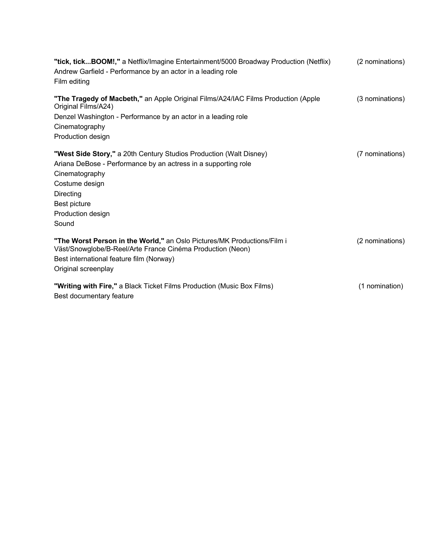| "tick, tickBOOM!," a Netflix/Imagine Entertainment/5000 Broadway Production (Netflix)                                                 | (2 nominations) |
|---------------------------------------------------------------------------------------------------------------------------------------|-----------------|
| Andrew Garfield - Performance by an actor in a leading role                                                                           |                 |
| Film editing                                                                                                                          |                 |
| "The Tragedy of Macbeth," an Apple Original Films/A24/IAC Films Production (Apple<br>Original Films/A24)                              | (3 nominations) |
| Denzel Washington - Performance by an actor in a leading role                                                                         |                 |
| Cinematography                                                                                                                        |                 |
| Production design                                                                                                                     |                 |
| "West Side Story," a 20th Century Studios Production (Walt Disney)                                                                    | (7 nominations) |
| Ariana DeBose - Performance by an actress in a supporting role                                                                        |                 |
| Cinematography                                                                                                                        |                 |
| Costume design                                                                                                                        |                 |
| Directing                                                                                                                             |                 |
| Best picture                                                                                                                          |                 |
| Production design                                                                                                                     |                 |
| Sound                                                                                                                                 |                 |
| "The Worst Person in the World," an Oslo Pictures/MK Productions/Film i<br>Väst/Snowglobe/B-Reel/Arte France Cinéma Production (Neon) | (2 nominations) |
| Best international feature film (Norway)                                                                                              |                 |
| Original screenplay                                                                                                                   |                 |
| "Writing with Fire," a Black Ticket Films Production (Music Box Films)                                                                | (1 nomination)  |
| Best documentary feature                                                                                                              |                 |